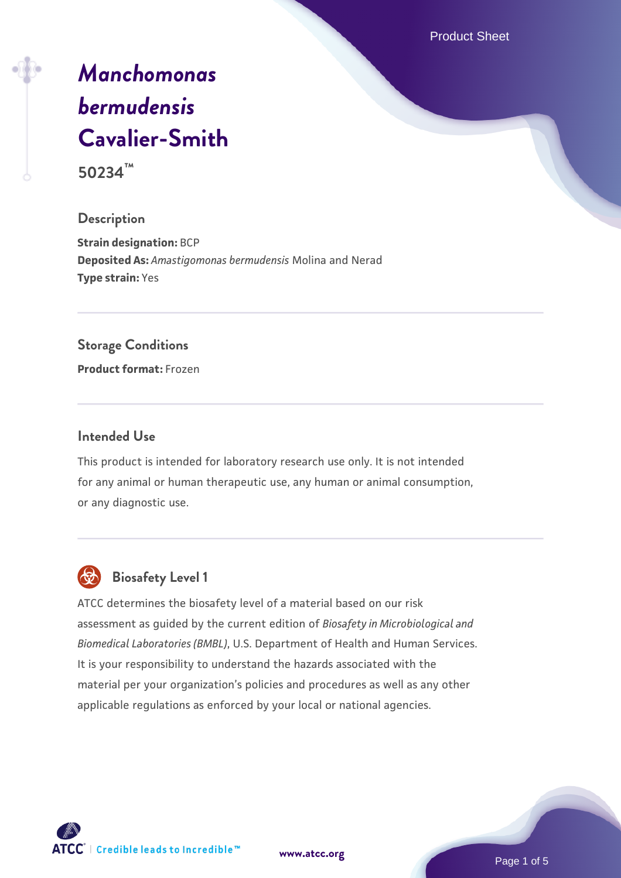Product Sheet

# *[Manchomonas](https://www.atcc.org/products/50234) [bermudensis](https://www.atcc.org/products/50234)* **[Cavalier-Smith](https://www.atcc.org/products/50234)**

**50234™**

#### **Description**

**Strain designation:** BCP **Deposited As:** *Amastigomonas bermudensis* Molina and Nerad **Type strain:** Yes

#### **Storage Conditions**

**Product format:** Frozen

#### **Intended Use**

This product is intended for laboratory research use only. It is not intended for any animal or human therapeutic use, any human or animal consumption, or any diagnostic use.



# **Biosafety Level 1**

ATCC determines the biosafety level of a material based on our risk assessment as guided by the current edition of *Biosafety in Microbiological and Biomedical Laboratories (BMBL)*, U.S. Department of Health and Human Services. It is your responsibility to understand the hazards associated with the material per your organization's policies and procedures as well as any other applicable regulations as enforced by your local or national agencies.

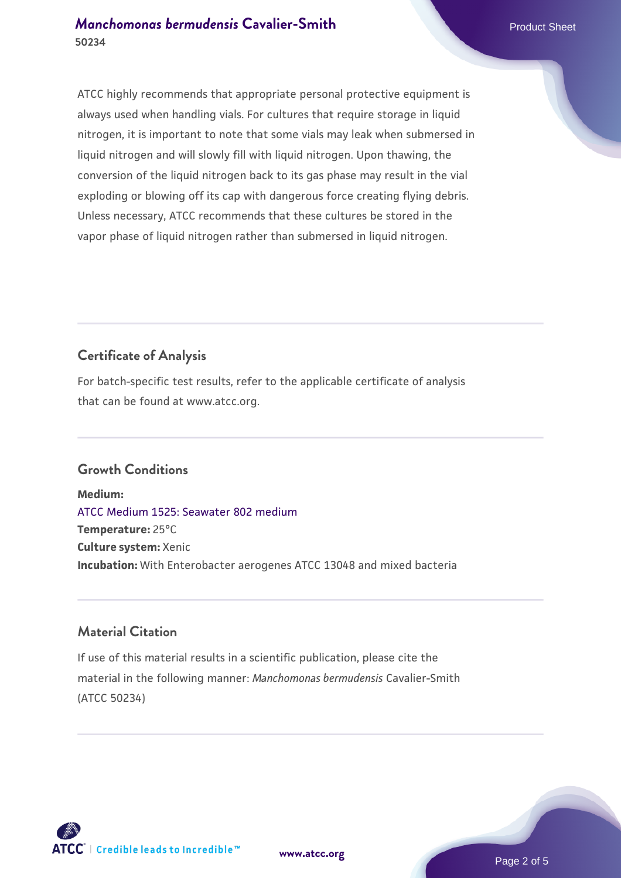## *[Manchomonas bermudensis](https://www.atcc.org/products/50234)* [Cavalier-Smith](https://www.atcc.org/products/50234) Product Sheet **50234**

ATCC highly recommends that appropriate personal protective equipment is always used when handling vials. For cultures that require storage in liquid nitrogen, it is important to note that some vials may leak when submersed in liquid nitrogen and will slowly fill with liquid nitrogen. Upon thawing, the conversion of the liquid nitrogen back to its gas phase may result in the vial exploding or blowing off its cap with dangerous force creating flying debris. Unless necessary, ATCC recommends that these cultures be stored in the vapor phase of liquid nitrogen rather than submersed in liquid nitrogen.

# **Certificate of Analysis**

For batch-specific test results, refer to the applicable certificate of analysis that can be found at www.atcc.org.

# **Growth Conditions**

**Medium:**  [ATCC Medium 1525: Seawater 802 medium](https://www.atcc.org/-/media/product-assets/documents/microbial-media-formulations/1/5/2/5/atcc-medium-1525.pdf?rev=a388414940634267b7071e94a0def7b3) **Temperature:** 25°C **Culture system:** Xenic **Incubation:** With Enterobacter aerogenes ATCC 13048 and mixed bacteria

## **Material Citation**

If use of this material results in a scientific publication, please cite the material in the following manner: *Manchomonas bermudensis* Cavalier-Smith (ATCC 50234)

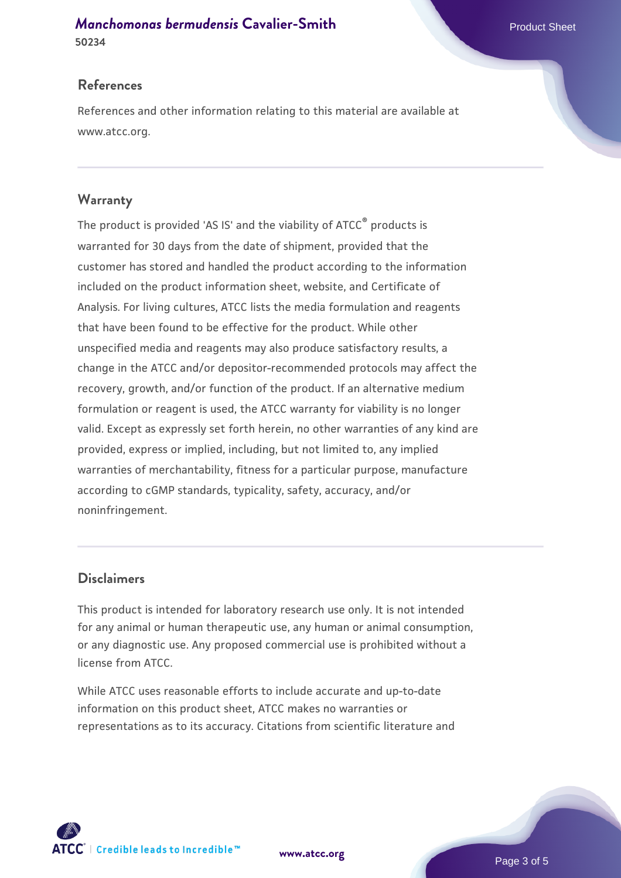*[Manchomonas bermudensis](https://www.atcc.org/products/50234)* [Cavalier-Smith](https://www.atcc.org/products/50234) Product Sheet

# **References**

References and other information relating to this material are available at www.atcc.org.

# **Warranty**

The product is provided 'AS IS' and the viability of ATCC® products is warranted for 30 days from the date of shipment, provided that the customer has stored and handled the product according to the information included on the product information sheet, website, and Certificate of Analysis. For living cultures, ATCC lists the media formulation and reagents that have been found to be effective for the product. While other unspecified media and reagents may also produce satisfactory results, a change in the ATCC and/or depositor-recommended protocols may affect the recovery, growth, and/or function of the product. If an alternative medium formulation or reagent is used, the ATCC warranty for viability is no longer valid. Except as expressly set forth herein, no other warranties of any kind are provided, express or implied, including, but not limited to, any implied warranties of merchantability, fitness for a particular purpose, manufacture according to cGMP standards, typicality, safety, accuracy, and/or noninfringement.

# **Disclaimers**

This product is intended for laboratory research use only. It is not intended for any animal or human therapeutic use, any human or animal consumption, or any diagnostic use. Any proposed commercial use is prohibited without a license from ATCC.

While ATCC uses reasonable efforts to include accurate and up-to-date information on this product sheet, ATCC makes no warranties or representations as to its accuracy. Citations from scientific literature and

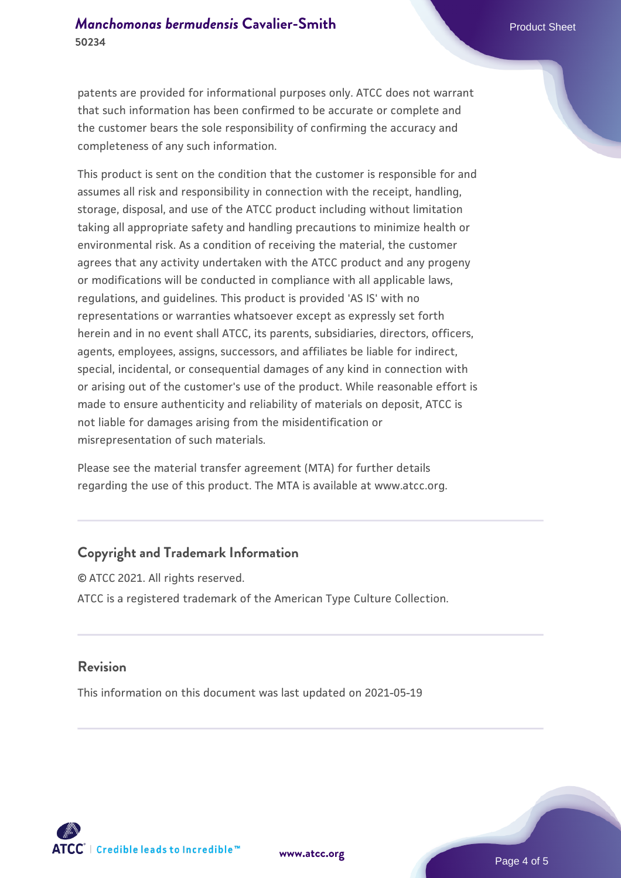patents are provided for informational purposes only. ATCC does not warrant that such information has been confirmed to be accurate or complete and the customer bears the sole responsibility of confirming the accuracy and completeness of any such information.

This product is sent on the condition that the customer is responsible for and assumes all risk and responsibility in connection with the receipt, handling, storage, disposal, and use of the ATCC product including without limitation taking all appropriate safety and handling precautions to minimize health or environmental risk. As a condition of receiving the material, the customer agrees that any activity undertaken with the ATCC product and any progeny or modifications will be conducted in compliance with all applicable laws, regulations, and guidelines. This product is provided 'AS IS' with no representations or warranties whatsoever except as expressly set forth herein and in no event shall ATCC, its parents, subsidiaries, directors, officers, agents, employees, assigns, successors, and affiliates be liable for indirect, special, incidental, or consequential damages of any kind in connection with or arising out of the customer's use of the product. While reasonable effort is made to ensure authenticity and reliability of materials on deposit, ATCC is not liable for damages arising from the misidentification or misrepresentation of such materials.

Please see the material transfer agreement (MTA) for further details regarding the use of this product. The MTA is available at www.atcc.org.

#### **Copyright and Trademark Information**

© ATCC 2021. All rights reserved. ATCC is a registered trademark of the American Type Culture Collection.

#### **Revision**

This information on this document was last updated on 2021-05-19